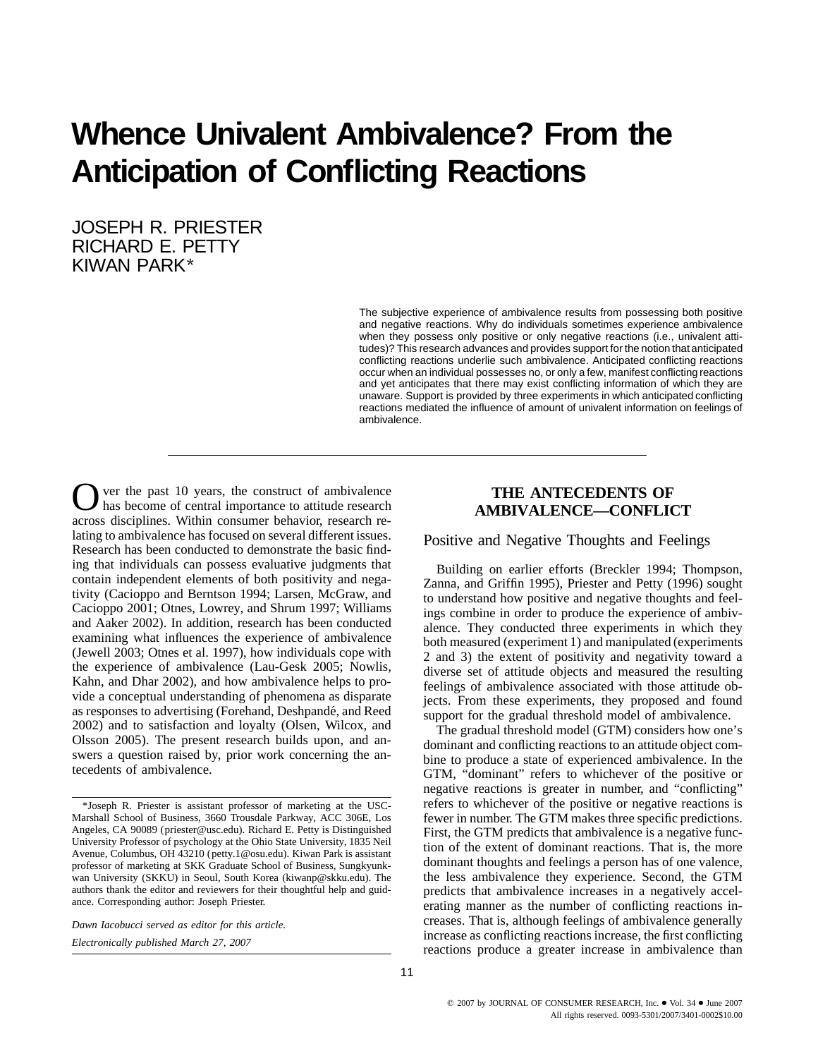# **Whence Univalent Ambivalence? From the Anticipation of Conflicting Reactions**

JOSEPH R. PRIESTER RICHARD E. PETTY KIWAN PARK\*

> The subjective experience of ambivalence results from possessing both positive and negative reactions. Why do individuals sometimes experience ambivalence when they possess only positive or only negative reactions (i.e., univalent attitudes)? This research advances and provides support for the notion that anticipated conflicting reactions underlie such ambivalence. Anticipated conflicting reactions occur when an individual possesses no, or only a few, manifest conflicting reactions and yet anticipates that there may exist conflicting information of which they are unaware. Support is provided by three experiments in which anticipated conflicting reactions mediated the influence of amount of univalent information on feelings of ambivalence.

Over the past 10 years, the construct of ambivalence<br>has become of central importance to attitude research across disciplines. Within consumer behavior, research relating to ambivalence has focused on several different issues. Research has been conducted to demonstrate the basic finding that individuals can possess evaluative judgments that contain independent elements of both positivity and negativity (Cacioppo and Berntson 1994; Larsen, McGraw, and Cacioppo 2001; Otnes, Lowrey, and Shrum 1997; Williams and Aaker 2002). In addition, research has been conducted examining what influences the experience of ambivalence (Jewell 2003; Otnes et al. 1997), how individuals cope with the experience of ambivalence (Lau-Gesk 2005; Nowlis, Kahn, and Dhar 2002), and how ambivalence helps to provide a conceptual understanding of phenomena as disparate as responses to advertising (Forehand, Deshpandé, and Reed 2002) and to satisfaction and loyalty (Olsen, Wilcox, and Olsson 2005). The present research builds upon, and answers a question raised by, prior work concerning the antecedents of ambivalence.

*Dawn Iacobucci served as editor for this article. Electronically published March 27, 2007*

## **THE ANTECEDENTS OF AMBIVALENCE—CONFLICT**

Positive and Negative Thoughts and Feelings

Building on earlier efforts (Breckler 1994; Thompson, Zanna, and Griffin 1995), Priester and Petty (1996) sought to understand how positive and negative thoughts and feelings combine in order to produce the experience of ambivalence. They conducted three experiments in which they both measured (experiment 1) and manipulated (experiments 2 and 3) the extent of positivity and negativity toward a diverse set of attitude objects and measured the resulting feelings of ambivalence associated with those attitude objects. From these experiments, they proposed and found support for the gradual threshold model of ambivalence.

The gradual threshold model (GTM) considers how one's dominant and conflicting reactions to an attitude object combine to produce a state of experienced ambivalence. In the GTM, "dominant" refers to whichever of the positive or negative reactions is greater in number, and "conflicting" refers to whichever of the positive or negative reactions is fewer in number. The GTM makes three specific predictions. First, the GTM predicts that ambivalence is a negative function of the extent of dominant reactions. That is, the more dominant thoughts and feelings a person has of one valence, the less ambivalence they experience. Second, the GTM predicts that ambivalence increases in a negatively accelerating manner as the number of conflicting reactions increases. That is, although feelings of ambivalence generally increase as conflicting reactions increase, the first conflicting reactions produce a greater increase in ambivalence than

<sup>\*</sup>Joseph R. Priester is assistant professor of marketing at the USC-Marshall School of Business, 3660 Trousdale Parkway, ACC 306E, Los Angeles, CA 90089 (priester@usc.edu). Richard E. Petty is Distinguished University Professor of psychology at the Ohio State University, 1835 Neil Avenue, Columbus, OH 43210 (petty.1@osu.edu). Kiwan Park is assistant professor of marketing at SKK Graduate School of Business, Sungkyunkwan University (SKKU) in Seoul, South Korea (kiwanp@skku.edu). The authors thank the editor and reviewers for their thoughtful help and guidance. Corresponding author: Joseph Priester.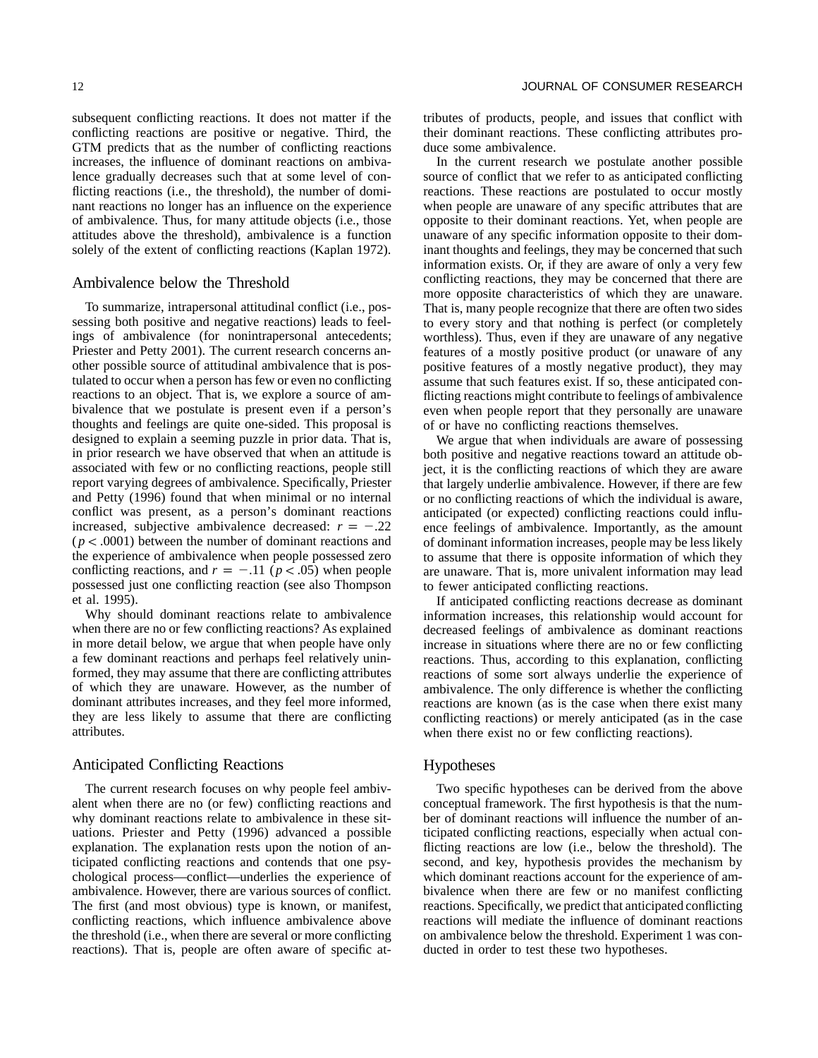subsequent conflicting reactions. It does not matter if the conflicting reactions are positive or negative. Third, the GTM predicts that as the number of conflicting reactions increases, the influence of dominant reactions on ambivalence gradually decreases such that at some level of conflicting reactions (i.e., the threshold), the number of dominant reactions no longer has an influence on the experience of ambivalence. Thus, for many attitude objects (i.e., those attitudes above the threshold), ambivalence is a function solely of the extent of conflicting reactions (Kaplan 1972).

#### Ambivalence below the Threshold

To summarize, intrapersonal attitudinal conflict (i.e., possessing both positive and negative reactions) leads to feelings of ambivalence (for nonintrapersonal antecedents; Priester and Petty 2001). The current research concerns another possible source of attitudinal ambivalence that is postulated to occur when a person has few or even no conflicting reactions to an object. That is, we explore a source of ambivalence that we postulate is present even if a person's thoughts and feelings are quite one-sided. This proposal is designed to explain a seeming puzzle in prior data. That is, in prior research we have observed that when an attitude is associated with few or no conflicting reactions, people still report varying degrees of ambivalence. Specifically, Priester and Petty (1996) found that when minimal or no internal conflict was present, as a person's dominant reactions increased, subjective ambivalence decreased:  $r = -.22$  $(p < .0001)$  between the number of dominant reactions and the experience of ambivalence when people possessed zero conflicting reactions, and  $r = -.11$  ( $p < .05$ ) when people possessed just one conflicting reaction (see also Thompson et al. 1995).

Why should dominant reactions relate to ambivalence when there are no or few conflicting reactions? As explained in more detail below, we argue that when people have only a few dominant reactions and perhaps feel relatively uninformed, they may assume that there are conflicting attributes of which they are unaware. However, as the number of dominant attributes increases, and they feel more informed, they are less likely to assume that there are conflicting attributes.

#### Anticipated Conflicting Reactions

The current research focuses on why people feel ambivalent when there are no (or few) conflicting reactions and why dominant reactions relate to ambivalence in these situations. Priester and Petty (1996) advanced a possible explanation. The explanation rests upon the notion of anticipated conflicting reactions and contends that one psychological process—conflict—underlies the experience of ambivalence. However, there are various sources of conflict. The first (and most obvious) type is known, or manifest, conflicting reactions, which influence ambivalence above the threshold (i.e., when there are several or more conflicting reactions). That is, people are often aware of specific attributes of products, people, and issues that conflict with their dominant reactions. These conflicting attributes produce some ambivalence.

In the current research we postulate another possible source of conflict that we refer to as anticipated conflicting reactions. These reactions are postulated to occur mostly when people are unaware of any specific attributes that are opposite to their dominant reactions. Yet, when people are unaware of any specific information opposite to their dominant thoughts and feelings, they may be concerned that such information exists. Or, if they are aware of only a very few conflicting reactions, they may be concerned that there are more opposite characteristics of which they are unaware. That is, many people recognize that there are often two sides to every story and that nothing is perfect (or completely worthless). Thus, even if they are unaware of any negative features of a mostly positive product (or unaware of any positive features of a mostly negative product), they may assume that such features exist. If so, these anticipated conflicting reactions might contribute to feelings of ambivalence even when people report that they personally are unaware of or have no conflicting reactions themselves.

We argue that when individuals are aware of possessing both positive and negative reactions toward an attitude object, it is the conflicting reactions of which they are aware that largely underlie ambivalence. However, if there are few or no conflicting reactions of which the individual is aware, anticipated (or expected) conflicting reactions could influence feelings of ambivalence. Importantly, as the amount of dominant information increases, people may be less likely to assume that there is opposite information of which they are unaware. That is, more univalent information may lead to fewer anticipated conflicting reactions.

If anticipated conflicting reactions decrease as dominant information increases, this relationship would account for decreased feelings of ambivalence as dominant reactions increase in situations where there are no or few conflicting reactions. Thus, according to this explanation, conflicting reactions of some sort always underlie the experience of ambivalence. The only difference is whether the conflicting reactions are known (as is the case when there exist many conflicting reactions) or merely anticipated (as in the case when there exist no or few conflicting reactions).

#### Hypotheses

Two specific hypotheses can be derived from the above conceptual framework. The first hypothesis is that the number of dominant reactions will influence the number of anticipated conflicting reactions, especially when actual conflicting reactions are low (i.e., below the threshold). The second, and key, hypothesis provides the mechanism by which dominant reactions account for the experience of ambivalence when there are few or no manifest conflicting reactions. Specifically, we predict that anticipated conflicting reactions will mediate the influence of dominant reactions on ambivalence below the threshold. Experiment 1 was conducted in order to test these two hypotheses.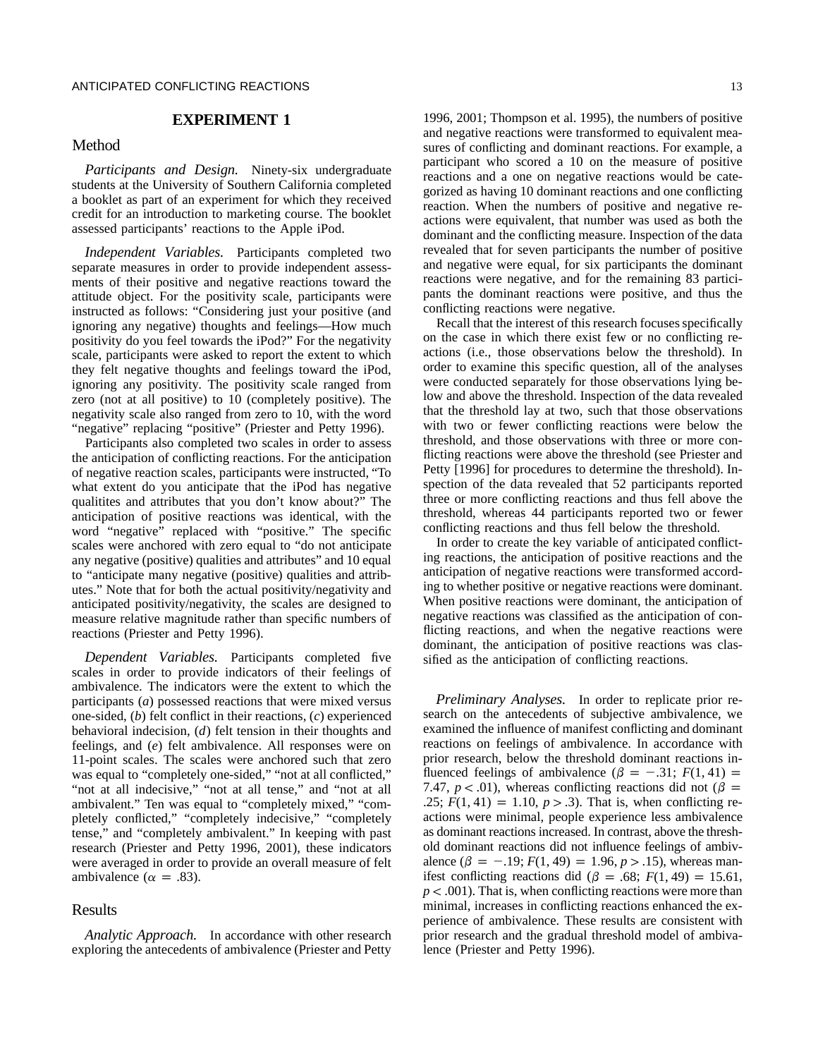#### **EXPERIMENT 1**

#### Method

*Participants and Design.* Ninety-six undergraduate students at the University of Southern California completed a booklet as part of an experiment for which they received credit for an introduction to marketing course. The booklet assessed participants' reactions to the Apple iPod.

*Independent Variables.* Participants completed two separate measures in order to provide independent assessments of their positive and negative reactions toward the attitude object. For the positivity scale, participants were instructed as follows: "Considering just your positive (and ignoring any negative) thoughts and feelings—How much positivity do you feel towards the iPod?" For the negativity scale, participants were asked to report the extent to which they felt negative thoughts and feelings toward the iPod, ignoring any positivity. The positivity scale ranged from zero (not at all positive) to 10 (completely positive). The negativity scale also ranged from zero to 10, with the word "negative" replacing "positive" (Priester and Petty 1996).

Participants also completed two scales in order to assess the anticipation of conflicting reactions. For the anticipation of negative reaction scales, participants were instructed, "To what extent do you anticipate that the iPod has negative qualitites and attributes that you don't know about?" The anticipation of positive reactions was identical, with the word "negative" replaced with "positive." The specific scales were anchored with zero equal to "do not anticipate any negative (positive) qualities and attributes" and 10 equal to "anticipate many negative (positive) qualities and attributes." Note that for both the actual positivity/negativity and anticipated positivity/negativity, the scales are designed to measure relative magnitude rather than specific numbers of reactions (Priester and Petty 1996).

*Dependent Variables.* Participants completed five scales in order to provide indicators of their feelings of ambivalence. The indicators were the extent to which the participants (*a*) possessed reactions that were mixed versus one-sided, (*b*) felt conflict in their reactions, (*c*) experienced behavioral indecision, (*d*) felt tension in their thoughts and feelings, and (*e*) felt ambivalence. All responses were on 11-point scales. The scales were anchored such that zero was equal to "completely one-sided," "not at all conflicted," "not at all indecisive," "not at all tense," and "not at all ambivalent." Ten was equal to "completely mixed," "completely conflicted," "completely indecisive," "completely tense," and "completely ambivalent." In keeping with past research (Priester and Petty 1996, 2001), these indicators were averaged in order to provide an overall measure of felt ambivalence ( $\alpha = .83$ ).

## Results

*Analytic Approach.* In accordance with other research exploring the antecedents of ambivalence (Priester and Petty

1996, 2001; Thompson et al. 1995), the numbers of positive and negative reactions were transformed to equivalent measures of conflicting and dominant reactions. For example, a participant who scored a 10 on the measure of positive reactions and a one on negative reactions would be categorized as having 10 dominant reactions and one conflicting reaction. When the numbers of positive and negative reactions were equivalent, that number was used as both the dominant and the conflicting measure. Inspection of the data revealed that for seven participants the number of positive and negative were equal, for six participants the dominant reactions were negative, and for the remaining 83 participants the dominant reactions were positive, and thus the conflicting reactions were negative.

Recall that the interest of this research focuses specifically on the case in which there exist few or no conflicting reactions (i.e., those observations below the threshold). In order to examine this specific question, all of the analyses were conducted separately for those observations lying below and above the threshold. Inspection of the data revealed that the threshold lay at two, such that those observations with two or fewer conflicting reactions were below the threshold, and those observations with three or more conflicting reactions were above the threshold (see Priester and Petty [1996] for procedures to determine the threshold). Inspection of the data revealed that 52 participants reported three or more conflicting reactions and thus fell above the threshold, whereas 44 participants reported two or fewer conflicting reactions and thus fell below the threshold.

In order to create the key variable of anticipated conflicting reactions, the anticipation of positive reactions and the anticipation of negative reactions were transformed according to whether positive or negative reactions were dominant. When positive reactions were dominant, the anticipation of negative reactions was classified as the anticipation of conflicting reactions, and when the negative reactions were dominant, the anticipation of positive reactions was classified as the anticipation of conflicting reactions.

*Preliminary Analyses.* In order to replicate prior research on the antecedents of subjective ambivalence, we examined the influence of manifest conflicting and dominant reactions on feelings of ambivalence. In accordance with prior research, below the threshold dominant reactions influenced feelings of ambivalence ( $\beta = -.31; F(1, 41) =$ 7.47,  $p < .01$ ), whereas conflicting reactions did not ( $\beta$  = .25;  $F(1, 41) = 1.10, p > .3$ . That is, when conflicting reactions were minimal, people experience less ambivalence as dominant reactions increased. In contrast, above the threshold dominant reactions did not influence feelings of ambivalence  $(\beta = -.19; F(1, 49) = 1.96, p > .15)$ , whereas manifest conflicting reactions did ( $\beta = .68$ ;  $F(1, 49) = 15.61$ ,  $p < .001$ ). That is, when conflicting reactions were more than minimal, increases in conflicting reactions enhanced the experience of ambivalence. These results are consistent with prior research and the gradual threshold model of ambivalence (Priester and Petty 1996).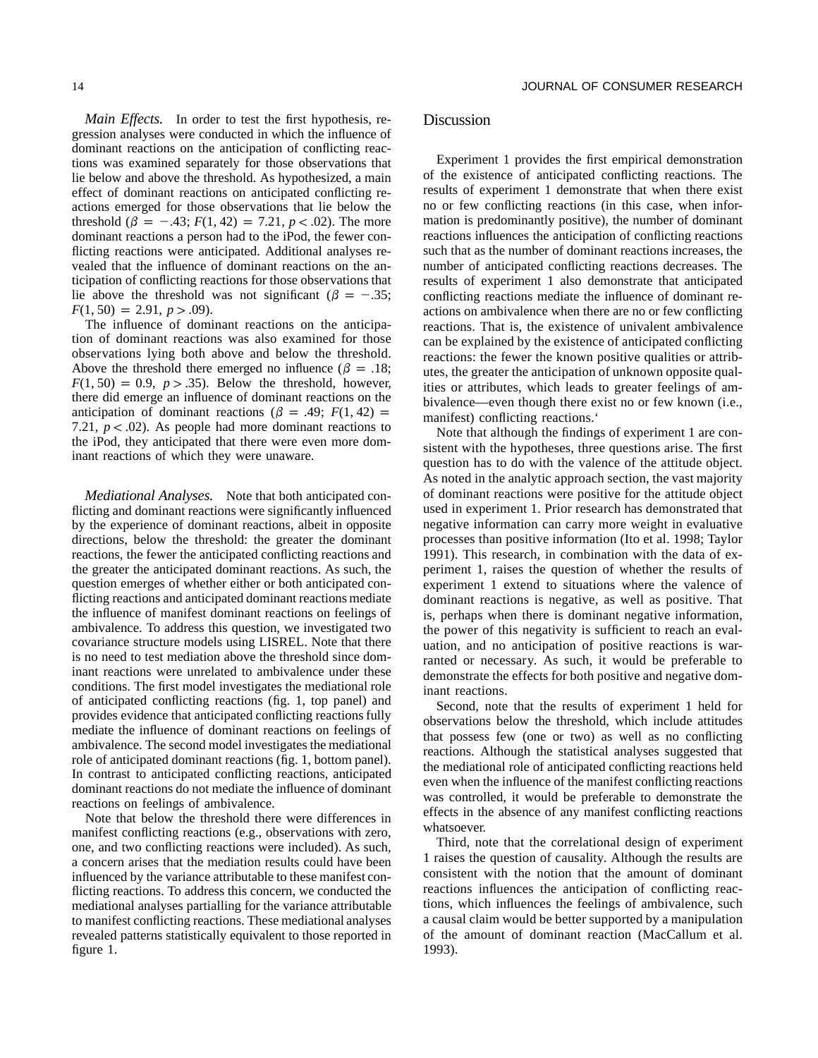*Main Effects.* In order to test the first hypothesis, regression analyses were conducted in which the influence of dominant reactions on the anticipation of conflicting reactions was examined separately for those observations that lie below and above the threshold. As hypothesized, a main effect of dominant reactions on anticipated conflicting reactions emerged for those observations that lie below the threshold  $(\beta = -.43; F(1, 42) = 7.21, p < .02)$ . The more dominant reactions a person had to the iPod, the fewer conflicting reactions were anticipated. Additional analyses revealed that the influence of dominant reactions on the anticipation of conflicting reactions for those observations that lie above the threshold was not significant ( $\beta = -.35$ ;  $F(1, 50) = 2.91, p > .09$ .

The influence of dominant reactions on the anticipation of dominant reactions was also examined for those observations lying both above and below the threshold. Above the threshold there emerged no influence ( $\beta = .18$ ;  $F(1, 50) = 0.9$ ,  $p > .35$ ). Below the threshold, however, there did emerge an influence of dominant reactions on the anticipation of dominant reactions ( $\beta = .49$ ;  $F(1, 42) =$ 7.21,  $p < .02$ ). As people had more dominant reactions to the iPod, they anticipated that there were even more dominant reactions of which they were unaware.

*Mediational Analyses.* Note that both anticipated conflicting and dominant reactions were significantly influenced by the experience of dominant reactions, albeit in opposite directions, below the threshold: the greater the dominant reactions, the fewer the anticipated conflicting reactions and the greater the anticipated dominant reactions. As such, the question emerges of whether either or both anticipated conflicting reactions and anticipated dominant reactions mediate the influence of manifest dominant reactions on feelings of ambivalence. To address this question, we investigated two covariance structure models using LISREL. Note that there is no need to test mediation above the threshold since dominant reactions were unrelated to ambivalence under these conditions. The first model investigates the mediational role of anticipated conflicting reactions (fig. 1, top panel) and provides evidence that anticipated conflicting reactions fully mediate the influence of dominant reactions on feelings of ambivalence. The second model investigates the mediational role of anticipated dominant reactions (fig. 1, bottom panel). In contrast to anticipated conflicting reactions, anticipated dominant reactions do not mediate the influence of dominant reactions on feelings of ambivalence.

Note that below the threshold there were differences in manifest conflicting reactions (e.g., observations with zero, one, and two conflicting reactions were included). As such, a concern arises that the mediation results could have been influenced by the variance attributable to these manifest conflicting reactions. To address this concern, we conducted the mediational analyses partialling for the variance attributable to manifest conflicting reactions. These mediational analyses revealed patterns statistically equivalent to those reported in figure 1.

## Discussion

Experiment 1 provides the first empirical demonstration of the existence of anticipated conflicting reactions. The results of experiment 1 demonstrate that when there exist no or few conflicting reactions (in this case, when information is predominantly positive), the number of dominant reactions influences the anticipation of conflicting reactions such that as the number of dominant reactions increases, the number of anticipated conflicting reactions decreases. The results of experiment 1 also demonstrate that anticipated conflicting reactions mediate the influence of dominant reactions on ambivalence when there are no or few conflicting reactions. That is, the existence of univalent ambivalence can be explained by the existence of anticipated conflicting reactions: the fewer the known positive qualities or attributes, the greater the anticipation of unknown opposite qualities or attributes, which leads to greater feelings of ambivalence—even though there exist no or few known (i.e., manifest) conflicting reactions.'

Note that although the findings of experiment 1 are consistent with the hypotheses, three questions arise. The first question has to do with the valence of the attitude object. As noted in the analytic approach section, the vast majority of dominant reactions were positive for the attitude object used in experiment 1. Prior research has demonstrated that negative information can carry more weight in evaluative processes than positive information (Ito et al. 1998; Taylor 1991). This research, in combination with the data of experiment 1, raises the question of whether the results of experiment 1 extend to situations where the valence of dominant reactions is negative, as well as positive. That is, perhaps when there is dominant negative information, the power of this negativity is sufficient to reach an evaluation, and no anticipation of positive reactions is warranted or necessary. As such, it would be preferable to demonstrate the effects for both positive and negative dominant reactions.

Second, note that the results of experiment 1 held for observations below the threshold, which include attitudes that possess few (one or two) as well as no conflicting reactions. Although the statistical analyses suggested that the mediational role of anticipated conflicting reactions held even when the influence of the manifest conflicting reactions was controlled, it would be preferable to demonstrate the effects in the absence of any manifest conflicting reactions whatsoever.

Third, note that the correlational design of experiment 1 raises the question of causality. Although the results are consistent with the notion that the amount of dominant reactions influences the anticipation of conflicting reactions, which influences the feelings of ambivalence, such a causal claim would be better supported by a manipulation of the amount of dominant reaction (MacCallum et al. 1993).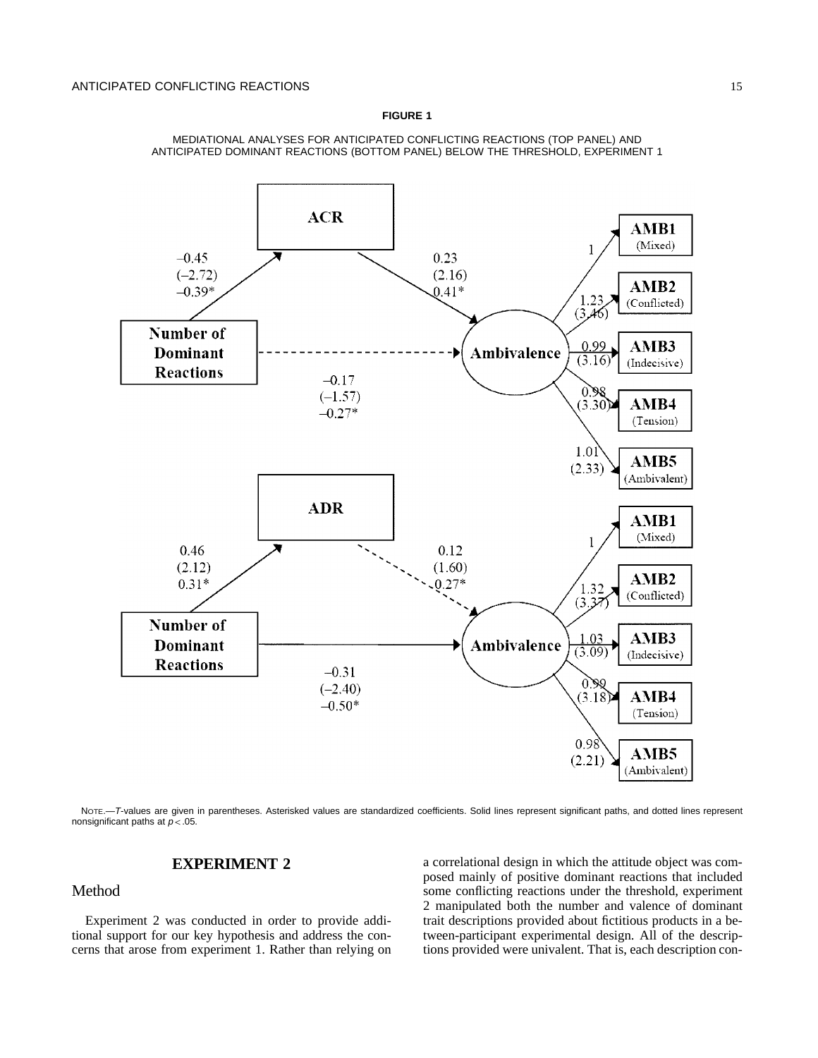**FIGURE 1**

MEDIATIONAL ANALYSES FOR ANTICIPATED CONFLICTING REACTIONS (TOP PANEL) AND ANTICIPATED DOMINANT REACTIONS (BOTTOM PANEL) BELOW THE THRESHOLD, EXPERIMENT 1



NOTE.--T-values are given in parentheses. Asterisked values are standardized coefficients. Solid lines represent significant paths, and dotted lines represent nonsignificant paths at  $p < .05$ .

## **EXPERIMENT 2**

#### Method

Experiment 2 was conducted in order to provide additional support for our key hypothesis and address the concerns that arose from experiment 1. Rather than relying on a correlational design in which the attitude object was composed mainly of positive dominant reactions that included some conflicting reactions under the threshold, experiment 2 manipulated both the number and valence of dominant trait descriptions provided about fictitious products in a between-participant experimental design. All of the descriptions provided were univalent. That is, each description con-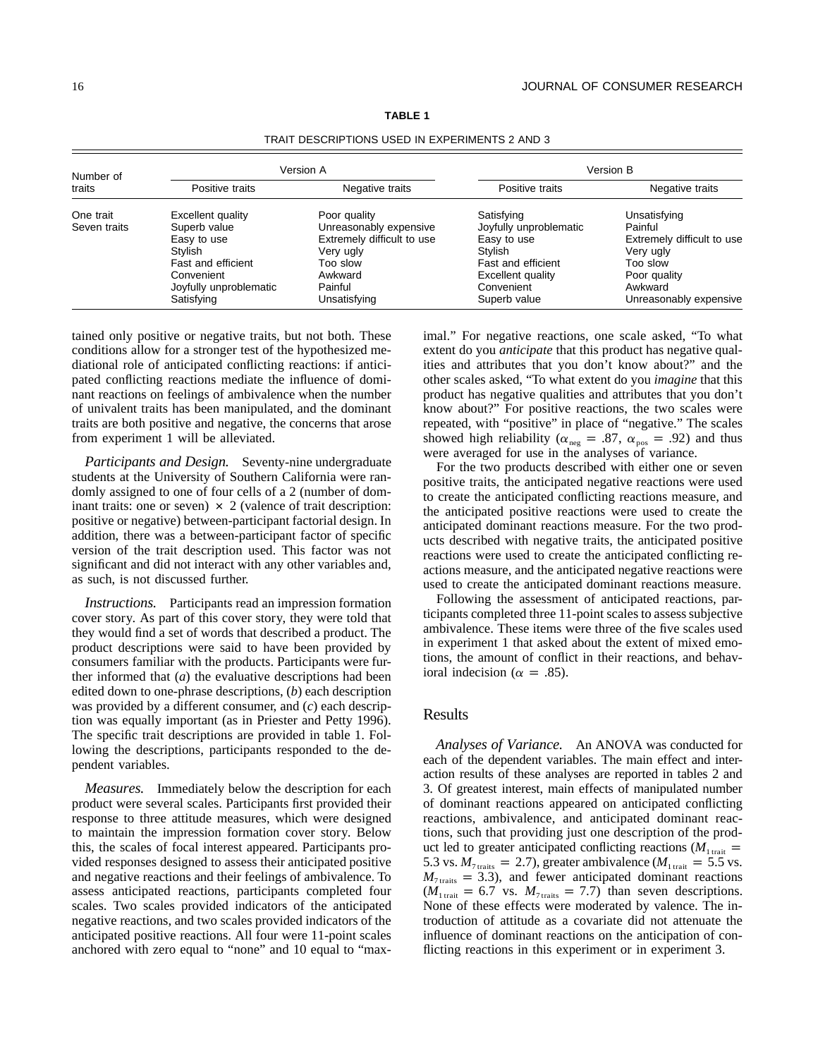| TRAIT DESCRIPTIONS USED IN EXPERIMENTS 2 AND 3 |                                                                                                                                                |                                                                                                                                     |                                                                                                                                         |                                                                                                                                     |  |  |
|------------------------------------------------|------------------------------------------------------------------------------------------------------------------------------------------------|-------------------------------------------------------------------------------------------------------------------------------------|-----------------------------------------------------------------------------------------------------------------------------------------|-------------------------------------------------------------------------------------------------------------------------------------|--|--|
| Number of<br>traits                            | Version A                                                                                                                                      |                                                                                                                                     | Version B                                                                                                                               |                                                                                                                                     |  |  |
|                                                | Positive traits                                                                                                                                | Negative traits                                                                                                                     | Positive traits                                                                                                                         | Negative traits                                                                                                                     |  |  |
| One trait<br>Seven traits                      | <b>Excellent quality</b><br>Superb value<br>Easy to use<br>Stvlish<br>Fast and efficient<br>Convenient<br>Joyfully unproblematic<br>Satisfying | Poor quality<br>Unreasonably expensive<br>Extremely difficult to use<br>Very ugly<br>Too slow<br>Awkward<br>Painful<br>Unsatisfying | Satisfying<br>Joyfully unproblematic<br>Easy to use<br>Stylish<br>Fast and efficient<br>Excellent quality<br>Convenient<br>Superb value | Unsatisfying<br>Painful<br>Extremely difficult to use<br>Very ugly<br>Too slow<br>Poor quality<br>Awkward<br>Unreasonably expensive |  |  |

**TABLE 1**

tained only positive or negative traits, but not both. These conditions allow for a stronger test of the hypothesized mediational role of anticipated conflicting reactions: if anticipated conflicting reactions mediate the influence of dominant reactions on feelings of ambivalence when the number of univalent traits has been manipulated, and the dominant traits are both positive and negative, the concerns that arose from experiment 1 will be alleviated.

*Participants and Design.* Seventy-nine undergraduate students at the University of Southern California were randomly assigned to one of four cells of a 2 (number of dominant traits: one or seven)  $\times$  2 (valence of trait description: positive or negative) between-participant factorial design. In addition, there was a between-participant factor of specific version of the trait description used. This factor was not significant and did not interact with any other variables and, as such, is not discussed further.

*Instructions.* Participants read an impression formation cover story. As part of this cover story, they were told that they would find a set of words that described a product. The product descriptions were said to have been provided by consumers familiar with the products. Participants were further informed that (*a*) the evaluative descriptions had been edited down to one-phrase descriptions, (*b*) each description was provided by a different consumer, and (*c*) each description was equally important (as in Priester and Petty 1996). The specific trait descriptions are provided in table 1. Following the descriptions, participants responded to the dependent variables.

*Measures.* Immediately below the description for each product were several scales. Participants first provided their response to three attitude measures, which were designed to maintain the impression formation cover story. Below this, the scales of focal interest appeared. Participants provided responses designed to assess their anticipated positive and negative reactions and their feelings of ambivalence. To assess anticipated reactions, participants completed four scales. Two scales provided indicators of the anticipated negative reactions, and two scales provided indicators of the anticipated positive reactions. All four were 11-point scales anchored with zero equal to "none" and 10 equal to "maximal." For negative reactions, one scale asked, "To what extent do you *anticipate* that this product has negative qualities and attributes that you don't know about?" and the other scales asked, "To what extent do you *imagine* that this product has negative qualities and attributes that you don't know about?" For positive reactions, the two scales were repeated, with "positive" in place of "negative." The scales showed high reliability ( $\alpha_{\text{neg}} = .87$ ,  $\alpha_{\text{pos}} = .92$ ) and thus were averaged for use in the analyses of variance.

For the two products described with either one or seven positive traits, the anticipated negative reactions were used to create the anticipated conflicting reactions measure, and the anticipated positive reactions were used to create the anticipated dominant reactions measure. For the two products described with negative traits, the anticipated positive reactions were used to create the anticipated conflicting reactions measure, and the anticipated negative reactions were used to create the anticipated dominant reactions measure.

Following the assessment of anticipated reactions, participants completed three 11-point scales to assess subjective ambivalence. These items were three of the five scales used in experiment 1 that asked about the extent of mixed emotions, the amount of conflict in their reactions, and behavioral indecision ( $\alpha = .85$ ).

## Results

*Analyses of Variance.* An ANOVA was conducted for each of the dependent variables. The main effect and interaction results of these analyses are reported in tables 2 and 3. Of greatest interest, main effects of manipulated number of dominant reactions appeared on anticipated conflicting reactions, ambivalence, and anticipated dominant reactions, such that providing just one description of the product led to greater anticipated conflicting reactions  $(M<sub>1 trait</sub> =$ 5.3 vs.  $M_{7\text{ traits}} = 2.7$ , greater ambivalence ( $M_{1\text{ trait}} = 5.5$  vs.  $M<sub>7 traits</sub> = 3.3$ , and fewer anticipated dominant reactions  $(M<sub>1 trait</sub> = 6.7 vs. M<sub>7 traits</sub> = 7.7) than seven descriptions.$ None of these effects were moderated by valence. The introduction of attitude as a covariate did not attenuate the influence of dominant reactions on the anticipation of conflicting reactions in this experiment or in experiment 3.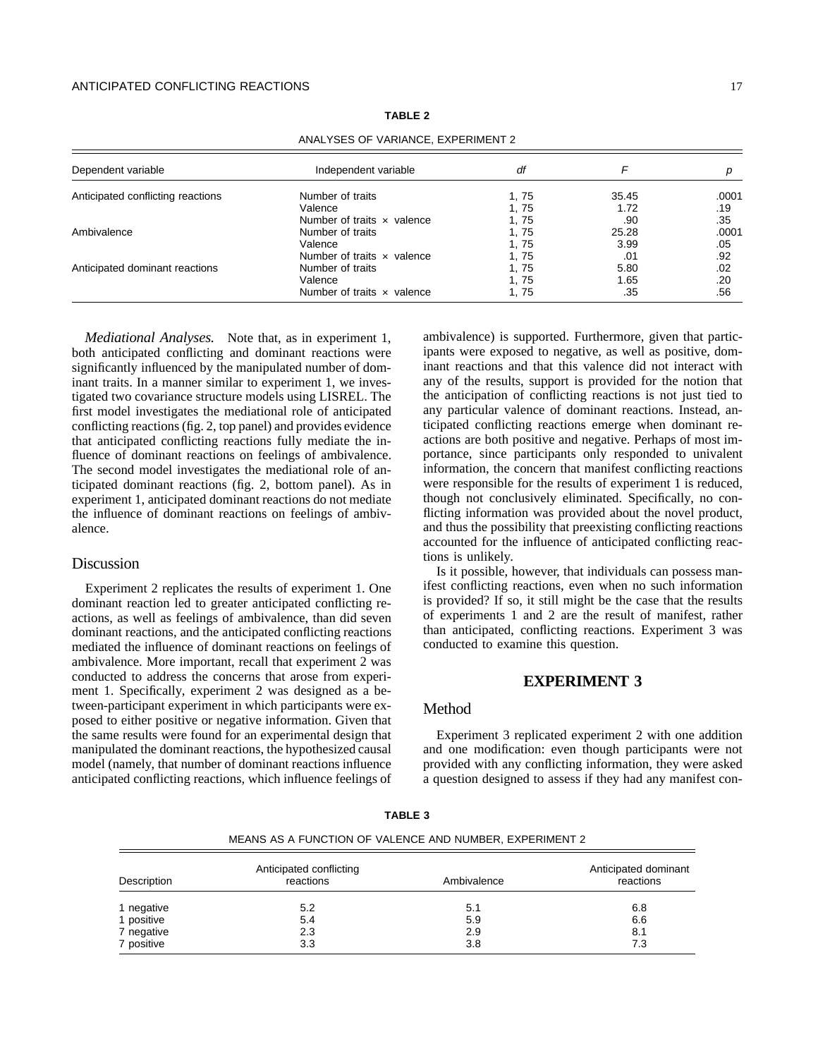#### ANTICIPATED CONFLICTING REACTIONS 17

| Dependent variable                | Independent variable              | df   | F     |       |
|-----------------------------------|-----------------------------------|------|-------|-------|
| Anticipated conflicting reactions | Number of traits                  | 1.75 | 35.45 | .0001 |
|                                   | Valence                           | 1.75 | 1.72  | .19   |
|                                   | Number of traits $\times$ valence | 1.75 | .90   | .35   |
| Ambivalence                       | Number of traits                  | 1,75 | 25.28 | .0001 |
|                                   | Valence                           | 1.75 | 3.99  | .05   |
|                                   | Number of traits $\times$ valence | 1.75 | .01   | .92   |
| Anticipated dominant reactions    | Number of traits                  | 1.75 | 5.80  | .02   |
|                                   | Valence                           | 1.75 | 1.65  | .20   |
|                                   | Number of traits $\times$ valence | 1.75 | .35   | .56   |

**TABLE 2**

ANALYSES OF VARIANCE, EXPERIMENT 2

*Mediational Analyses.* Note that, as in experiment 1, both anticipated conflicting and dominant reactions were significantly influenced by the manipulated number of dominant traits. In a manner similar to experiment 1, we investigated two covariance structure models using LISREL. The first model investigates the mediational role of anticipated conflicting reactions (fig. 2, top panel) and provides evidence that anticipated conflicting reactions fully mediate the influence of dominant reactions on feelings of ambivalence. The second model investigates the mediational role of anticipated dominant reactions (fig. 2, bottom panel). As in experiment 1, anticipated dominant reactions do not mediate the influence of dominant reactions on feelings of ambivalence.

#### Discussion

Experiment 2 replicates the results of experiment 1. One dominant reaction led to greater anticipated conflicting reactions, as well as feelings of ambivalence, than did seven dominant reactions, and the anticipated conflicting reactions mediated the influence of dominant reactions on feelings of ambivalence. More important, recall that experiment 2 was conducted to address the concerns that arose from experiment 1. Specifically, experiment 2 was designed as a between-participant experiment in which participants were exposed to either positive or negative information. Given that the same results were found for an experimental design that manipulated the dominant reactions, the hypothesized causal model (namely, that number of dominant reactions influence anticipated conflicting reactions, which influence feelings of

ambivalence) is supported. Furthermore, given that participants were exposed to negative, as well as positive, dominant reactions and that this valence did not interact with any of the results, support is provided for the notion that the anticipation of conflicting reactions is not just tied to any particular valence of dominant reactions. Instead, anticipated conflicting reactions emerge when dominant reactions are both positive and negative. Perhaps of most importance, since participants only responded to univalent information, the concern that manifest conflicting reactions were responsible for the results of experiment 1 is reduced, though not conclusively eliminated. Specifically, no conflicting information was provided about the novel product, and thus the possibility that preexisting conflicting reactions accounted for the influence of anticipated conflicting reactions is unlikely.

Is it possible, however, that individuals can possess manifest conflicting reactions, even when no such information is provided? If so, it still might be the case that the results of experiments 1 and 2 are the result of manifest, rather than anticipated, conflicting reactions. Experiment 3 was conducted to examine this question.

#### **EXPERIMENT 3**

#### Method

Experiment 3 replicated experiment 2 with one addition and one modification: even though participants were not provided with any conflicting information, they were asked a question designed to assess if they had any manifest con-

| Description | Anticipated conflicting<br>reactions | Ambivalence | Anticipated dominant<br>reactions |
|-------------|--------------------------------------|-------------|-----------------------------------|
| 1 negative  | 5.2                                  | 5.1         | 6.8                               |
| 1 positive  | 5.4                                  | 5.9         | 6.6                               |
| 7 negative  | 2.3                                  | 2.9         | 8.1                               |
| 7 positive  | 3.3                                  | 3.8         | 7.3                               |
|             |                                      |             |                                   |

**TABLE 3** MEANS AS A FUNCTION OF VALENCE AND NUMBER, EXPERIMENT 2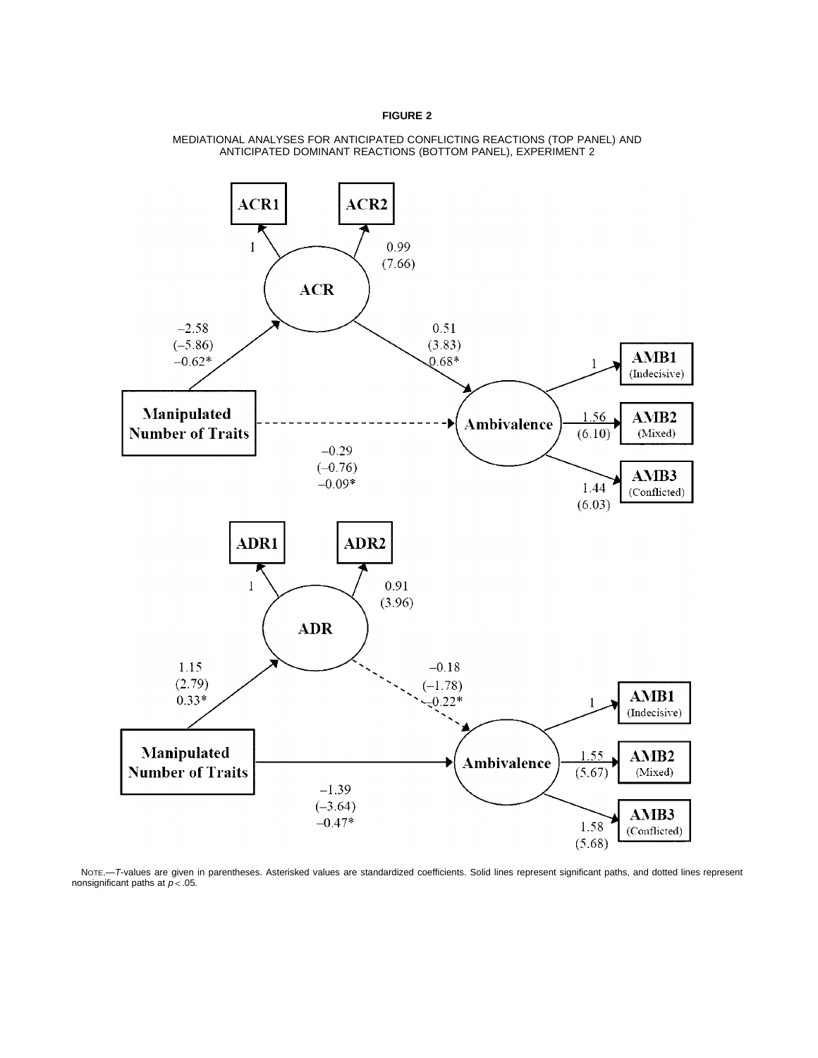#### **FIGURE 2**



MEDIATIONAL ANALYSES FOR ANTICIPATED CONFLICTING REACTIONS (TOP PANEL) AND ANTICIPATED DOMINANT REACTIONS (BOTTOM PANEL), EXPERIMENT 2

NOTE.--T-values are given in parentheses. Asterisked values are standardized coefficients. Solid lines represent significant paths, and dotted lines represent nonsignificant paths at  $p < .05$ .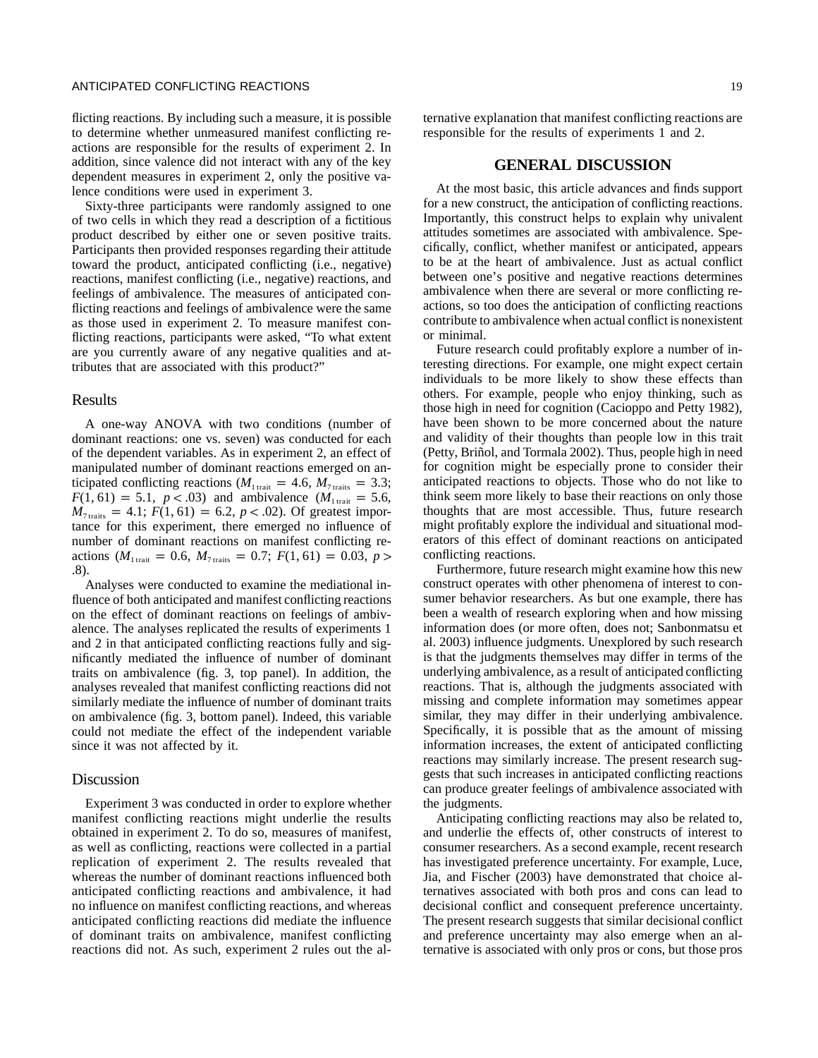flicting reactions. By including such a measure, it is possible to determine whether unmeasured manifest conflicting reactions are responsible for the results of experiment 2. In addition, since valence did not interact with any of the key dependent measures in experiment 2, only the positive valence conditions were used in experiment 3.

Sixty-three participants were randomly assigned to one of two cells in which they read a description of a fictitious product described by either one or seven positive traits. Participants then provided responses regarding their attitude toward the product, anticipated conflicting (i.e., negative) reactions, manifest conflicting (i.e., negative) reactions, and feelings of ambivalence. The measures of anticipated conflicting reactions and feelings of ambivalence were the same as those used in experiment 2. To measure manifest conflicting reactions, participants were asked, "To what extent are you currently aware of any negative qualities and attributes that are associated with this product?"

#### Results

A one-way ANOVA with two conditions (number of dominant reactions: one vs. seven) was conducted for each of the dependent variables. As in experiment 2, an effect of manipulated number of dominant reactions emerged on anticipated conflicting reactions ( $M_{1\,\text{train}} = 4.6$ ,  $M_{7\,\text{trails}} = 3.3$ ;  $F(1, 61) = 5.1, p < .03$  and ambivalence ( $M<sub>1 trait</sub> = 5.6$ ,  $M_{7 \text{ traits}} = 4.1$ ;  $F(1, 61) = 6.2$ ,  $p < .02$ ). Of greatest importance for this experiment, there emerged no influence of number of dominant reactions on manifest conflicting reactions ( $M_{1\text{ trait}} = 0.6$ ,  $M_{7\text{ traits}} = 0.7$ ;  $F(1, 61) = 0.03$ ,  $p >$ .8).

Analyses were conducted to examine the mediational influence of both anticipated and manifest conflicting reactions on the effect of dominant reactions on feelings of ambivalence. The analyses replicated the results of experiments 1 and 2 in that anticipated conflicting reactions fully and significantly mediated the influence of number of dominant traits on ambivalence (fig. 3, top panel). In addition, the analyses revealed that manifest conflicting reactions did not similarly mediate the influence of number of dominant traits on ambivalence (fig. 3, bottom panel). Indeed, this variable could not mediate the effect of the independent variable since it was not affected by it.

#### Discussion

Experiment 3 was conducted in order to explore whether manifest conflicting reactions might underlie the results obtained in experiment 2. To do so, measures of manifest, as well as conflicting, reactions were collected in a partial replication of experiment 2. The results revealed that whereas the number of dominant reactions influenced both anticipated conflicting reactions and ambivalence, it had no influence on manifest conflicting reactions, and whereas anticipated conflicting reactions did mediate the influence of dominant traits on ambivalence, manifest conflicting reactions did not. As such, experiment 2 rules out the alternative explanation that manifest conflicting reactions are responsible for the results of experiments 1 and 2.

## **GENERAL DISCUSSION**

At the most basic, this article advances and finds support for a new construct, the anticipation of conflicting reactions. Importantly, this construct helps to explain why univalent attitudes sometimes are associated with ambivalence. Specifically, conflict, whether manifest or anticipated, appears to be at the heart of ambivalence. Just as actual conflict between one's positive and negative reactions determines ambivalence when there are several or more conflicting reactions, so too does the anticipation of conflicting reactions contribute to ambivalence when actual conflict is nonexistent or minimal.

Future research could profitably explore a number of interesting directions. For example, one might expect certain individuals to be more likely to show these effects than others. For example, people who enjoy thinking, such as those high in need for cognition (Cacioppo and Petty 1982), have been shown to be more concerned about the nature and validity of their thoughts than people low in this trait (Petty, Briñol, and Tormala 2002). Thus, people high in need for cognition might be especially prone to consider their anticipated reactions to objects. Those who do not like to think seem more likely to base their reactions on only those thoughts that are most accessible. Thus, future research might profitably explore the individual and situational moderators of this effect of dominant reactions on anticipated conflicting reactions.

Furthermore, future research might examine how this new construct operates with other phenomena of interest to consumer behavior researchers. As but one example, there has been a wealth of research exploring when and how missing information does (or more often, does not; Sanbonmatsu et al. 2003) influence judgments. Unexplored by such research is that the judgments themselves may differ in terms of the underlying ambivalence, as a result of anticipated conflicting reactions. That is, although the judgments associated with missing and complete information may sometimes appear similar, they may differ in their underlying ambivalence. Specifically, it is possible that as the amount of missing information increases, the extent of anticipated conflicting reactions may similarly increase. The present research suggests that such increases in anticipated conflicting reactions can produce greater feelings of ambivalence associated with the judgments.

Anticipating conflicting reactions may also be related to, and underlie the effects of, other constructs of interest to consumer researchers. As a second example, recent research has investigated preference uncertainty. For example, Luce, Jia, and Fischer (2003) have demonstrated that choice alternatives associated with both pros and cons can lead to decisional conflict and consequent preference uncertainty. The present research suggests that similar decisional conflict and preference uncertainty may also emerge when an alternative is associated with only pros or cons, but those pros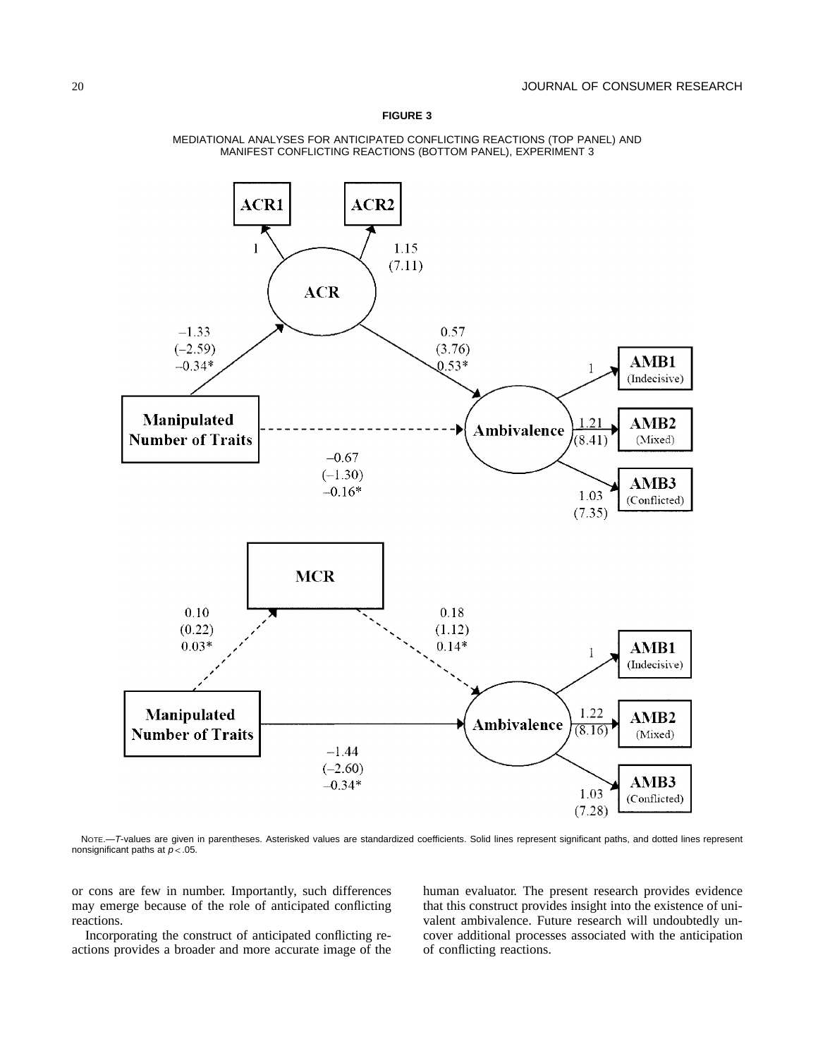**FIGURE 3**

MEDIATIONAL ANALYSES FOR ANTICIPATED CONFLICTING REACTIONS (TOP PANEL) AND MANIFEST CONFLICTING REACTIONS (BOTTOM PANEL), EXPERIMENT 3



NOTE.--T-values are given in parentheses. Asterisked values are standardized coefficients. Solid lines represent significant paths, and dotted lines represent nonsignificant paths at  $p < .05$ .

or cons are few in number. Importantly, such differences may emerge because of the role of anticipated conflicting reactions.

Incorporating the construct of anticipated conflicting reactions provides a broader and more accurate image of the human evaluator. The present research provides evidence that this construct provides insight into the existence of univalent ambivalence. Future research will undoubtedly uncover additional processes associated with the anticipation of conflicting reactions.